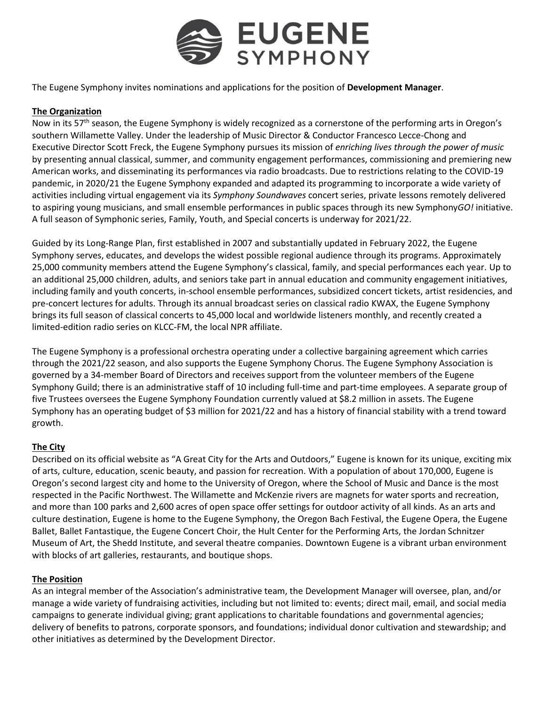

The Eugene Symphony invites nominations and applications for the position of **Development Manager**.

## **The Organization**

Now in its 57<sup>th</sup> season, the Eugene Symphony is widely recognized as a cornerstone of the performing arts in Oregon's southern Willamette Valley. Under the leadership of Music Director & Conductor Francesco Lecce-Chong and Executive Director Scott Freck, the Eugene Symphony pursues its mission of *enriching lives through the power of music* by presenting annual classical, summer, and community engagement performances, commissioning and premiering new American works, and disseminating its performances via radio broadcasts. Due to restrictions relating to the COVID-19 pandemic, in 2020/21 the Eugene Symphony expanded and adapted its programming to incorporate a wide variety of activities including virtual engagement via its *Symphony Soundwaves* concert series, private lessons remotely delivered to aspiring young musicians, and small ensemble performances in public spaces through its new Symphony*GO!* initiative. A full season of Symphonic series, Family, Youth, and Special concerts is underway for 2021/22.

Guided by its Long-Range Plan, first established in 2007 and substantially updated in February 2022, the Eugene Symphony serves, educates, and develops the widest possible regional audience through its programs. Approximately 25,000 community members attend the Eugene Symphony's classical, family, and special performances each year. Up to an additional 25,000 children, adults, and seniors take part in annual education and community engagement initiatives, including family and youth concerts, in-school ensemble performances, subsidized concert tickets, artist residencies, and pre-concert lectures for adults. Through its annual broadcast series on classical radio KWAX, the Eugene Symphony brings its full season of classical concerts to 45,000 local and worldwide listeners monthly, and recently created a limited-edition radio series on KLCC-FM, the local NPR affiliate.

The Eugene Symphony is a professional orchestra operating under a collective bargaining agreement which carries through the 2021/22 season, and also supports the Eugene Symphony Chorus. The Eugene Symphony Association is governed by a 34-member Board of Directors and receives support from the volunteer members of the Eugene Symphony Guild; there is an administrative staff of 10 including full-time and part-time employees. A separate group of five Trustees oversees the Eugene Symphony Foundation currently valued at \$8.2 million in assets. The Eugene Symphony has an operating budget of \$3 million for 2021/22 and has a history of financial stability with a trend toward growth.

# **The City**

Described on its official website as "A Great City for the Arts and Outdoors," Eugene is known for its unique, exciting mix of arts, culture, education, scenic beauty, and passion for recreation. With a population of about 170,000, Eugene is Oregon's second largest city and home to the University of Oregon, where the School of Music and Dance is the most respected in the Pacific Northwest. The Willamette and McKenzie rivers are magnets for water sports and recreation, and more than 100 parks and 2,600 acres of open space offer settings for outdoor activity of all kinds. As an arts and culture destination, Eugene is home to the Eugene Symphony, the Oregon Bach Festival, the Eugene Opera, the Eugene Ballet, Ballet Fantastique, the Eugene Concert Choir, the Hult Center for the Performing Arts, the Jordan Schnitzer Museum of Art, the Shedd Institute, and several theatre companies. Downtown Eugene is a vibrant urban environment with blocks of art galleries, restaurants, and boutique shops.

# **The Position**

As an integral member of the Association's administrative team, the Development Manager will oversee, plan, and/or manage a wide variety of fundraising activities, including but not limited to: events; direct mail, email, and social media campaigns to generate individual giving; grant applications to charitable foundations and governmental agencies; delivery of benefits to patrons, corporate sponsors, and foundations; individual donor cultivation and stewardship; and other initiatives as determined by the Development Director.